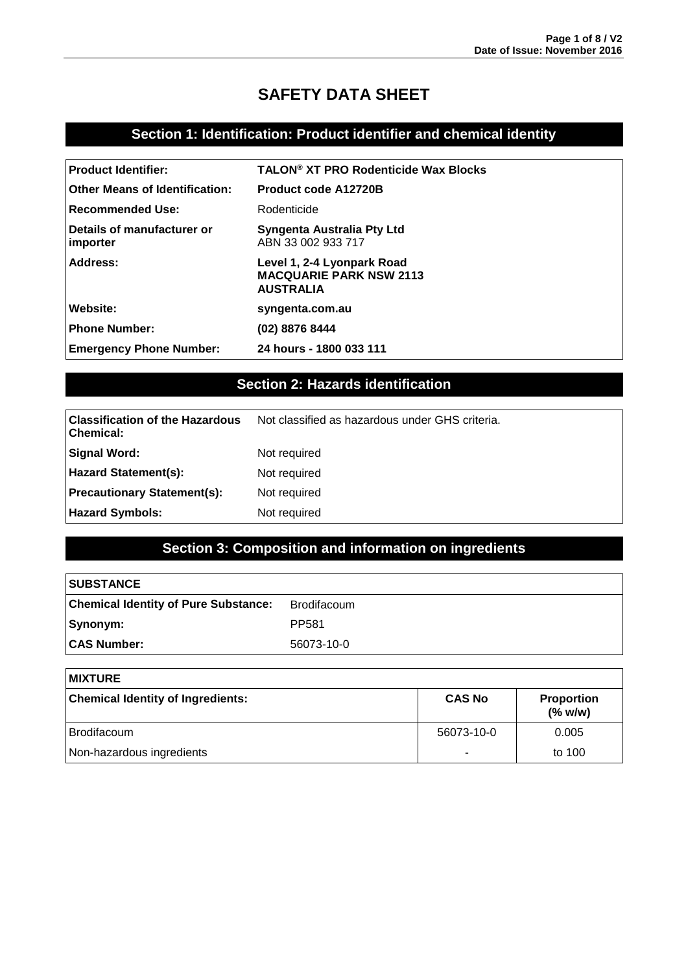## **SAFETY DATA SHEET**

## **Section 1: Identification: Product identifier and chemical identity**

| <b>Product Identifier:</b>             | <b>TALON<sup>®</sup> XT PRO Rodenticide Wax Blocks</b>                           |
|----------------------------------------|----------------------------------------------------------------------------------|
| <b>Other Means of Identification:</b>  | <b>Product code A12720B</b>                                                      |
| <b>Recommended Use:</b>                | Rodenticide                                                                      |
| Details of manufacturer or<br>importer | Syngenta Australia Pty Ltd<br>ABN 33 002 933 717                                 |
| Address:                               | Level 1, 2-4 Lyonpark Road<br><b>MACQUARIE PARK NSW 2113</b><br><b>AUSTRALIA</b> |
| Website:                               | syngenta.com.au                                                                  |
| <b>Phone Number:</b>                   | (02) 8876 8444                                                                   |
| <b>Emergency Phone Number:</b>         | 24 hours - 1800 033 111                                                          |

## **Section 2: Hazards identification**

| <b>Classification of the Hazardous</b><br>  Chemical: | Not classified as hazardous under GHS criteria. |
|-------------------------------------------------------|-------------------------------------------------|
| Signal Word:                                          | Not required                                    |
| Hazard Statement(s):                                  | Not required                                    |
| <b>Precautionary Statement(s):</b>                    | Not required                                    |
| <b>Hazard Symbols:</b>                                | Not required                                    |

## **Section 3: Composition and information on ingredients**

| <b>SUBSTANCE</b>                            |                   |
|---------------------------------------------|-------------------|
| <b>Chemical Identity of Pure Substance:</b> | Brodifacoum       |
| Synonym:                                    | PP <sub>581</sub> |
| <b>CAS Number:</b>                          | 56073-10-0        |

| <b>MIXTURE</b>                           |               |                              |
|------------------------------------------|---------------|------------------------------|
| <b>Chemical Identity of Ingredients:</b> | <b>CAS No</b> | <b>Proportion</b><br>(% w/w) |
| <b>Brodifacoum</b>                       | 56073-10-0    | 0.005                        |
| Non-hazardous ingredients                |               | to 100                       |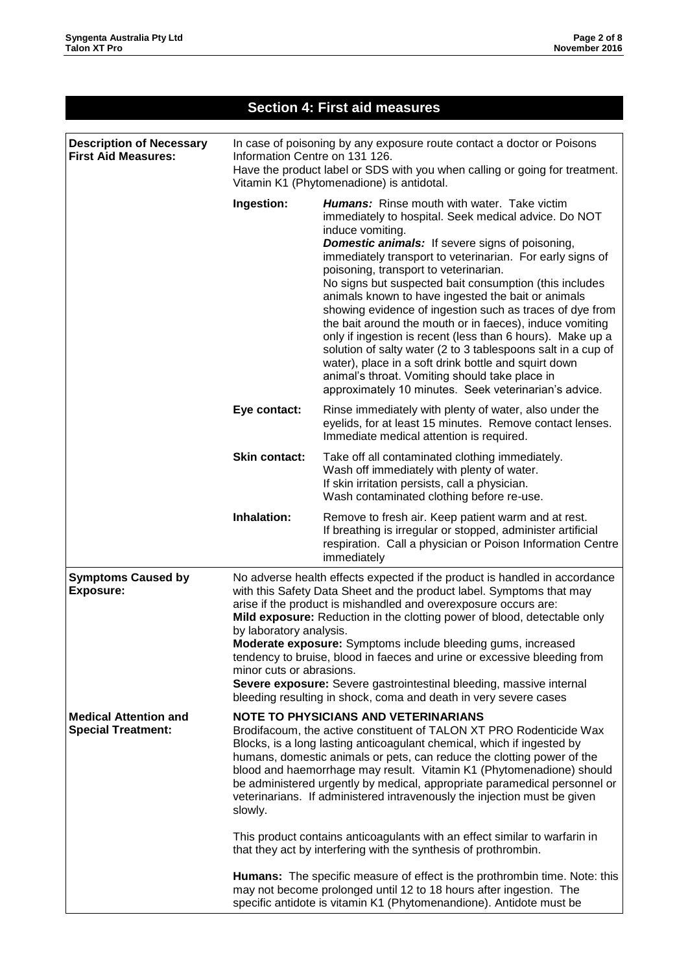| <b>Section 4: First aid measures</b>                          |                                                                                                                                                                                                                                                                                                                                                                                                                                                                                                                                                                                                                                                                                                                                                                                                                                                       |                                                                                                                                                                                                 |  |
|---------------------------------------------------------------|-------------------------------------------------------------------------------------------------------------------------------------------------------------------------------------------------------------------------------------------------------------------------------------------------------------------------------------------------------------------------------------------------------------------------------------------------------------------------------------------------------------------------------------------------------------------------------------------------------------------------------------------------------------------------------------------------------------------------------------------------------------------------------------------------------------------------------------------------------|-------------------------------------------------------------------------------------------------------------------------------------------------------------------------------------------------|--|
| <b>Description of Necessary</b><br><b>First Aid Measures:</b> | In case of poisoning by any exposure route contact a doctor or Poisons<br>Information Centre on 131 126.<br>Have the product label or SDS with you when calling or going for treatment.<br>Vitamin K1 (Phytomenadione) is antidotal.                                                                                                                                                                                                                                                                                                                                                                                                                                                                                                                                                                                                                  |                                                                                                                                                                                                 |  |
|                                                               | Ingestion:<br><b>Humans:</b> Rinse mouth with water. Take victim<br>immediately to hospital. Seek medical advice. Do NOT<br>induce vomiting.<br><b>Domestic animals:</b> If severe signs of poisoning,<br>immediately transport to veterinarian. For early signs of<br>poisoning, transport to veterinarian.<br>No signs but suspected bait consumption (this includes<br>animals known to have ingested the bait or animals<br>showing evidence of ingestion such as traces of dye from<br>the bait around the mouth or in faeces), induce vomiting<br>only if ingestion is recent (less than 6 hours). Make up a<br>solution of salty water (2 to 3 tablespoons salt in a cup of<br>water), place in a soft drink bottle and squirt down<br>animal's throat. Vomiting should take place in<br>approximately 10 minutes. Seek veterinarian's advice. |                                                                                                                                                                                                 |  |
|                                                               | Eye contact:<br>Rinse immediately with plenty of water, also under the<br>eyelids, for at least 15 minutes. Remove contact lenses.<br>Immediate medical attention is required.                                                                                                                                                                                                                                                                                                                                                                                                                                                                                                                                                                                                                                                                        |                                                                                                                                                                                                 |  |
|                                                               | <b>Skin contact:</b>                                                                                                                                                                                                                                                                                                                                                                                                                                                                                                                                                                                                                                                                                                                                                                                                                                  | Take off all contaminated clothing immediately.<br>Wash off immediately with plenty of water.<br>If skin irritation persists, call a physician.<br>Wash contaminated clothing before re-use.    |  |
|                                                               | Inhalation:                                                                                                                                                                                                                                                                                                                                                                                                                                                                                                                                                                                                                                                                                                                                                                                                                                           | Remove to fresh air. Keep patient warm and at rest.<br>If breathing is irregular or stopped, administer artificial<br>respiration. Call a physician or Poison Information Centre<br>immediately |  |
| <b>Symptoms Caused by</b><br><b>Exposure:</b>                 | No adverse health effects expected if the product is handled in accordance<br>with this Safety Data Sheet and the product label. Symptoms that may<br>arise if the product is mishandled and overexposure occurs are:<br>Mild exposure: Reduction in the clotting power of blood, detectable only<br>by laboratory analysis.<br>Moderate exposure: Symptoms include bleeding gums, increased<br>tendency to bruise, blood in faeces and urine or excessive bleeding from<br>minor cuts or abrasions.<br>Severe exposure: Severe gastrointestinal bleeding, massive internal<br>bleeding resulting in shock, coma and death in very severe cases                                                                                                                                                                                                       |                                                                                                                                                                                                 |  |
| <b>Medical Attention and</b><br><b>Special Treatment:</b>     | <b>NOTE TO PHYSICIANS AND VETERINARIANS</b><br>Brodifacoum, the active constituent of TALON XT PRO Rodenticide Wax<br>Blocks, is a long lasting anticoagulant chemical, which if ingested by<br>humans, domestic animals or pets, can reduce the clotting power of the<br>blood and haemorrhage may result. Vitamin K1 (Phytomenadione) should<br>be administered urgently by medical, appropriate paramedical personnel or<br>veterinarians. If administered intravenously the injection must be given<br>slowly.                                                                                                                                                                                                                                                                                                                                    |                                                                                                                                                                                                 |  |
|                                                               |                                                                                                                                                                                                                                                                                                                                                                                                                                                                                                                                                                                                                                                                                                                                                                                                                                                       | This product contains anticoagulants with an effect similar to warfarin in<br>that they act by interfering with the synthesis of prothrombin.                                                   |  |
|                                                               | <b>Humans:</b> The specific measure of effect is the prothrombin time. Note: this<br>may not become prolonged until 12 to 18 hours after ingestion. The<br>specific antidote is vitamin K1 (Phytomenandione). Antidote must be                                                                                                                                                                                                                                                                                                                                                                                                                                                                                                                                                                                                                        |                                                                                                                                                                                                 |  |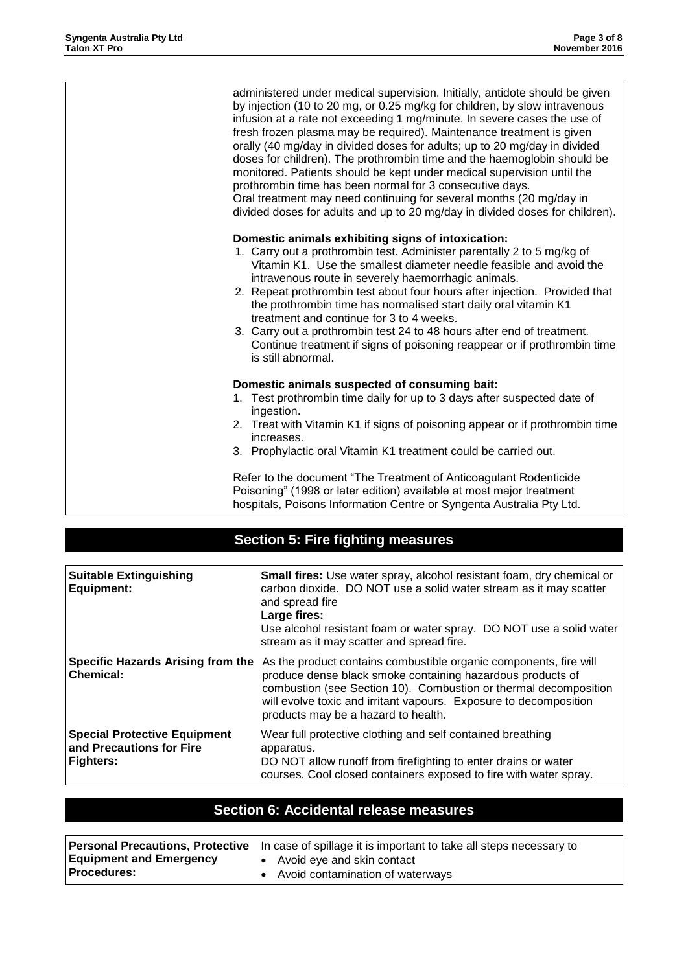administered under medical supervision. Initially, antidote should be given by injection (10 to 20 mg, or 0.25 mg/kg for children, by slow intravenous infusion at a rate not exceeding 1 mg/minute. In severe cases the use of fresh frozen plasma may be required). Maintenance treatment is given orally (40 mg/day in divided doses for adults; up to 20 mg/day in divided doses for children). The prothrombin time and the haemoglobin should be monitored. Patients should be kept under medical supervision until the prothrombin time has been normal for 3 consecutive days. Oral treatment may need continuing for several months (20 mg/day in divided doses for adults and up to 20 mg/day in divided doses for children).

#### **Domestic animals exhibiting signs of intoxication:**

- 1. Carry out a prothrombin test. Administer parentally 2 to 5 mg/kg of Vitamin K1. Use the smallest diameter needle feasible and avoid the intravenous route in severely haemorrhagic animals.
- 2. Repeat prothrombin test about four hours after injection. Provided that the prothrombin time has normalised start daily oral vitamin K1 treatment and continue for 3 to 4 weeks.
- 3. Carry out a prothrombin test 24 to 48 hours after end of treatment. Continue treatment if signs of poisoning reappear or if prothrombin time is still abnormal.

#### **Domestic animals suspected of consuming bait:**

- 1. Test prothrombin time daily for up to 3 days after suspected date of ingestion.
- 2. Treat with Vitamin K1 if signs of poisoning appear or if prothrombin time increases.
- 3. Prophylactic oral Vitamin K1 treatment could be carried out.

Refer to the document "The Treatment of Anticoagulant Rodenticide Poisoning" (1998 or later edition) available at most major treatment hospitals, Poisons Information Centre or Syngenta Australia Pty Ltd.

## **Section 5: Fire fighting measures**

| <b>Suitable Extinguishing</b><br>Equipment:                                         | Small fires: Use water spray, alcohol resistant foam, dry chemical or<br>carbon dioxide. DO NOT use a solid water stream as it may scatter<br>and spread fire<br>Large fires:<br>Use alcohol resistant foam or water spray. DO NOT use a solid water<br>stream as it may scatter and spread fire.               |
|-------------------------------------------------------------------------------------|-----------------------------------------------------------------------------------------------------------------------------------------------------------------------------------------------------------------------------------------------------------------------------------------------------------------|
| Specific Hazards Arising from the<br><b>Chemical:</b>                               | As the product contains combustible organic components, fire will<br>produce dense black smoke containing hazardous products of<br>combustion (see Section 10). Combustion or thermal decomposition<br>will evolve toxic and irritant vapours. Exposure to decomposition<br>products may be a hazard to health. |
| <b>Special Protective Equipment</b><br>and Precautions for Fire<br><b>Fighters:</b> | Wear full protective clothing and self contained breathing<br>apparatus.<br>DO NOT allow runoff from firefighting to enter drains or water<br>courses. Cool closed containers exposed to fire with water spray.                                                                                                 |

### **Section 6: Accidental release measures**

|                                | <b>Personal Precautions, Protective</b> In case of spillage it is important to take all steps necessary to |
|--------------------------------|------------------------------------------------------------------------------------------------------------|
| <b>Equipment and Emergency</b> | • Avoid eye and skin contact                                                                               |
| <b>Procedures:</b>             | • Avoid contamination of waterways                                                                         |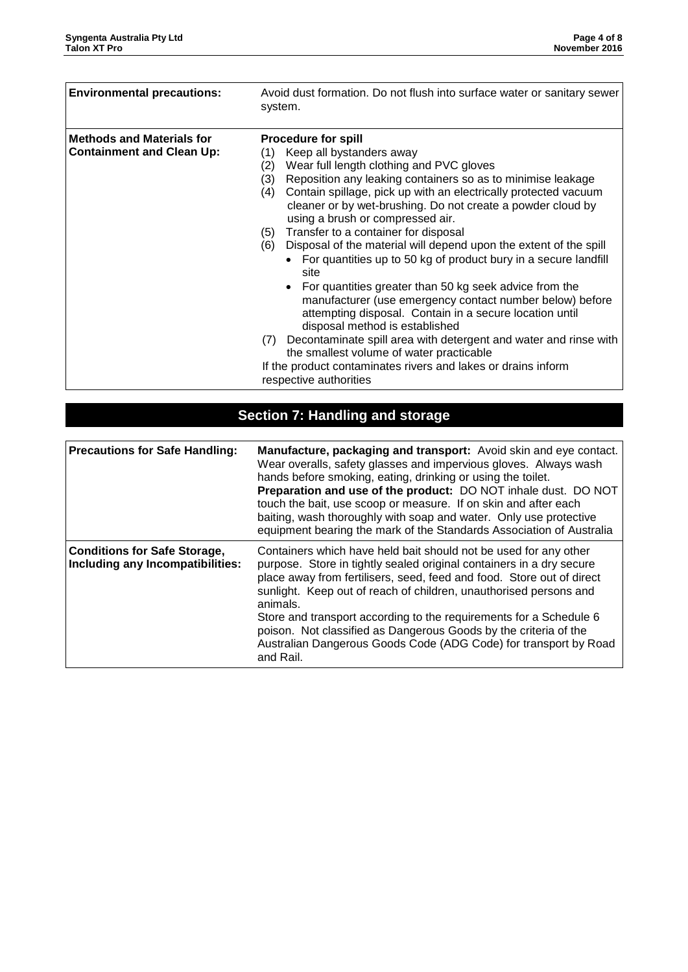| <b>Environmental precautions:</b>                                    | Avoid dust formation. Do not flush into surface water or sanitary sewer<br>system.                                                                                                                                                                                                                                                                                                                                                                                                                                                                                                                                                                                                                                                                                                                                                                                                                                                                                                                             |  |
|----------------------------------------------------------------------|----------------------------------------------------------------------------------------------------------------------------------------------------------------------------------------------------------------------------------------------------------------------------------------------------------------------------------------------------------------------------------------------------------------------------------------------------------------------------------------------------------------------------------------------------------------------------------------------------------------------------------------------------------------------------------------------------------------------------------------------------------------------------------------------------------------------------------------------------------------------------------------------------------------------------------------------------------------------------------------------------------------|--|
| <b>Methods and Materials for</b><br><b>Containment and Clean Up:</b> | <b>Procedure for spill</b><br>Keep all bystanders away<br>(1)<br>Wear full length clothing and PVC gloves<br>(2)<br>Reposition any leaking containers so as to minimise leakage<br>(3)<br>Contain spillage, pick up with an electrically protected vacuum<br>(4)<br>cleaner or by wet-brushing. Do not create a powder cloud by<br>using a brush or compressed air.<br>Transfer to a container for disposal<br>(5)<br>Disposal of the material will depend upon the extent of the spill<br>(6)<br>For quantities up to 50 kg of product bury in a secure landfill<br>site<br>For quantities greater than 50 kg seek advice from the<br>manufacturer (use emergency contact number below) before<br>attempting disposal. Contain in a secure location until<br>disposal method is established<br>Decontaminate spill area with detergent and water and rinse with<br>(7)<br>the smallest volume of water practicable<br>If the product contaminates rivers and lakes or drains inform<br>respective authorities |  |

# **Section 7: Handling and storage**

| <b>Precautions for Safe Handling:</b>                                   | Manufacture, packaging and transport: Avoid skin and eye contact.<br>Wear overalls, safety glasses and impervious gloves. Always wash<br>hands before smoking, eating, drinking or using the toilet.<br>Preparation and use of the product: DO NOT inhale dust. DO NOT<br>touch the bait, use scoop or measure. If on skin and after each<br>baiting, wash thoroughly with soap and water. Only use protective<br>equipment bearing the mark of the Standards Association of Australia                                        |
|-------------------------------------------------------------------------|-------------------------------------------------------------------------------------------------------------------------------------------------------------------------------------------------------------------------------------------------------------------------------------------------------------------------------------------------------------------------------------------------------------------------------------------------------------------------------------------------------------------------------|
| <b>Conditions for Safe Storage,</b><br>Including any Incompatibilities: | Containers which have held bait should not be used for any other<br>purpose. Store in tightly sealed original containers in a dry secure<br>place away from fertilisers, seed, feed and food. Store out of direct<br>sunlight. Keep out of reach of children, unauthorised persons and<br>animals.<br>Store and transport according to the requirements for a Schedule 6<br>poison. Not classified as Dangerous Goods by the criteria of the<br>Australian Dangerous Goods Code (ADG Code) for transport by Road<br>and Rail. |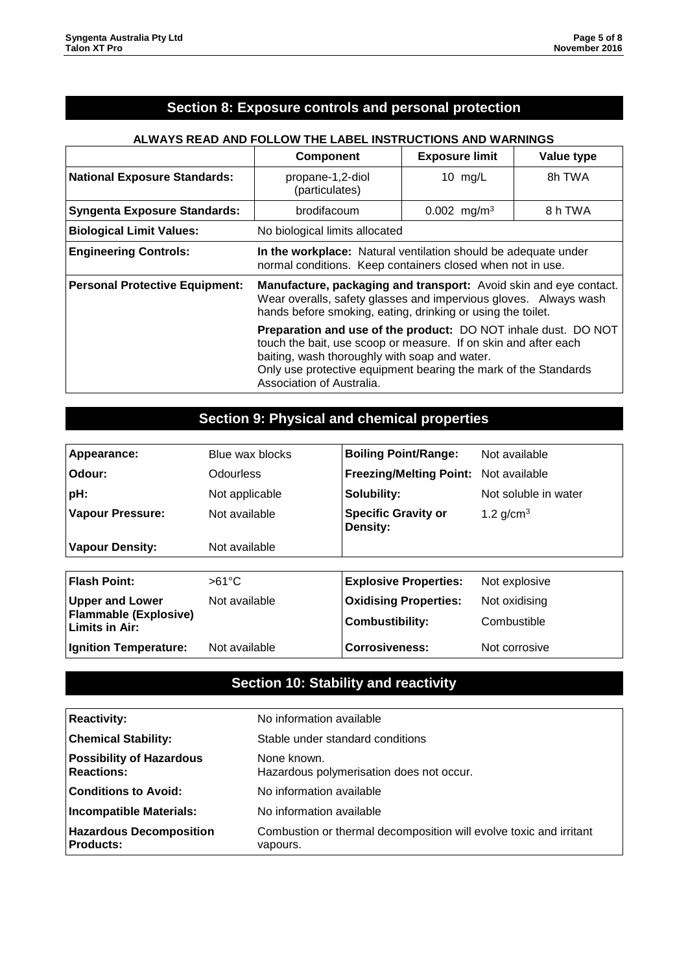### **Section 8: Exposure controls and personal protection**

#### **ALWAYS READ AND FOLLOW THE LABEL INSTRUCTIONS AND WARNINGS**

|                                       | <b>Component</b>                                                                                                                                                                                                                                                                   | <b>Exposure limit</b> | Value type |
|---------------------------------------|------------------------------------------------------------------------------------------------------------------------------------------------------------------------------------------------------------------------------------------------------------------------------------|-----------------------|------------|
| <b>National Exposure Standards:</b>   | propane-1,2-diol<br>(particulates)                                                                                                                                                                                                                                                 | 10 $mg/L$             | 8h TWA     |
| <b>Syngenta Exposure Standards:</b>   | 8 h TWA<br>brodifacoum<br>$0.002$ mg/m <sup>3</sup>                                                                                                                                                                                                                                |                       |            |
| <b>Biological Limit Values:</b>       | No biological limits allocated                                                                                                                                                                                                                                                     |                       |            |
| <b>Engineering Controls:</b>          | In the workplace: Natural ventilation should be adequate under<br>normal conditions. Keep containers closed when not in use.                                                                                                                                                       |                       |            |
| <b>Personal Protective Equipment:</b> | Manufacture, packaging and transport: Avoid skin and eye contact.<br>Wear overalls, safety glasses and impervious gloves. Always wash<br>hands before smoking, eating, drinking or using the toilet.                                                                               |                       |            |
|                                       | Preparation and use of the product: DO NOT inhale dust. DO NOT<br>touch the bait, use scoop or measure. If on skin and after each<br>baiting, wash thoroughly with soap and water.<br>Only use protective equipment bearing the mark of the Standards<br>Association of Australia. |                       |            |

## **Section 9: Physical and chemical properties**

| Appearance:                                    | Blue wax blocks | <b>Boiling Point/Range:</b>            | Not available        |
|------------------------------------------------|-----------------|----------------------------------------|----------------------|
| Odour:                                         | Odourless       | Freezing/Melting Point: Not available  |                      |
| pH:                                            | Not applicable  | Solubility:                            | Not soluble in water |
| <b>Vapour Pressure:</b>                        | Not available   | <b>Specific Gravity or</b><br>Density: | 1.2 $g/cm^{3}$       |
| <b>Vapour Density:</b>                         | Not available   |                                        |                      |
|                                                |                 |                                        |                      |
| <b>Flash Point:</b>                            | $>61^{\circ}$ C | <b>Explosive Properties:</b>           | Not explosive        |
| <b>Upper and Lower</b>                         | Not available   | <b>Oxidising Properties:</b>           | Not oxidising        |
| <b>Flammable (Explosive)</b><br>Limits in Air: |                 | <b>Combustibility:</b>                 | Combustible          |
| <b>Ignition Temperature:</b>                   | Not available   | <b>Corrosiveness:</b>                  | Not corrosive        |

## **Section 10: Stability and reactivity**

| <b>Reactivity:</b>                                   | No information available                                                       |  |
|------------------------------------------------------|--------------------------------------------------------------------------------|--|
| <b>Chemical Stability:</b>                           | Stable under standard conditions                                               |  |
| <b>Possibility of Hazardous</b><br><b>Reactions:</b> | None known.<br>Hazardous polymerisation does not occur.                        |  |
| <b>Conditions to Avoid:</b>                          | No information available                                                       |  |
| <b>Incompatible Materials:</b>                       | No information available                                                       |  |
| <b>Hazardous Decomposition</b><br><b>Products:</b>   | Combustion or thermal decomposition will evolve toxic and irritant<br>vapours. |  |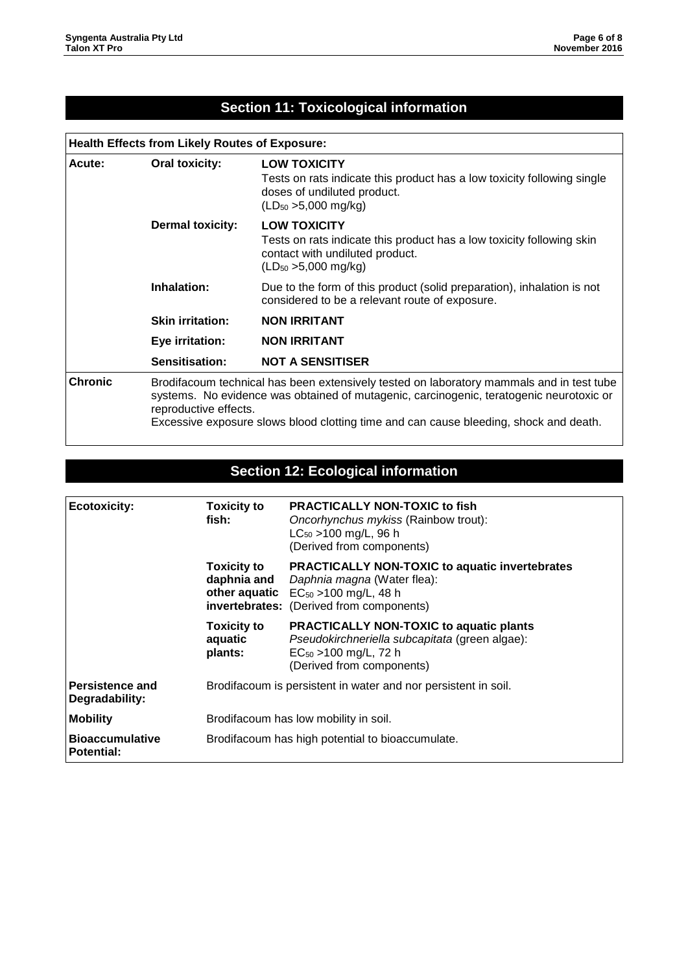## **Section 11: Toxicological information**

## **Health Effects from Likely Routes of Exposure:**

| Acute:         | Oral toxicity:                                                                                                                                                                                                                                                                                        | <b>LOW TOXICITY</b><br>Tests on rats indicate this product has a low toxicity following single<br>doses of undiluted product.<br>$(LD_{50} > 5,000 \text{ mg/kg})$ |
|----------------|-------------------------------------------------------------------------------------------------------------------------------------------------------------------------------------------------------------------------------------------------------------------------------------------------------|--------------------------------------------------------------------------------------------------------------------------------------------------------------------|
|                | <b>Dermal toxicity:</b>                                                                                                                                                                                                                                                                               | <b>LOW TOXICITY</b><br>Tests on rats indicate this product has a low toxicity following skin<br>contact with undiluted product.<br>$(LD_{50} > 5,000$ mg/kg)       |
|                | Inhalation:                                                                                                                                                                                                                                                                                           | Due to the form of this product (solid preparation), inhalation is not<br>considered to be a relevant route of exposure.                                           |
|                | <b>Skin irritation:</b>                                                                                                                                                                                                                                                                               | <b>NON IRRITANT</b>                                                                                                                                                |
|                | Eye irritation:                                                                                                                                                                                                                                                                                       | <b>NON IRRITANT</b>                                                                                                                                                |
|                | Sensitisation:                                                                                                                                                                                                                                                                                        | <b>NOT A SENSITISER</b>                                                                                                                                            |
| <b>Chronic</b> | Brodifacoum technical has been extensively tested on laboratory mammals and in test tube<br>systems. No evidence was obtained of mutagenic, carcinogenic, teratogenic neurotoxic or<br>reproductive effects.<br>Excessive exposure slows blood clotting time and can cause bleeding, shock and death. |                                                                                                                                                                    |

## **Section 12: Ecological information**

| <b>Ecotoxicity:</b>                         | <b>Toxicity to</b><br>fish:                                    | <b>PRACTICALLY NON-TOXIC to fish</b><br>Oncorhynchus mykiss (Rainbow trout):<br>$LC_{50}$ > 100 mg/L, 96 h<br>(Derived from components)                                      |
|---------------------------------------------|----------------------------------------------------------------|------------------------------------------------------------------------------------------------------------------------------------------------------------------------------|
|                                             | <b>Toxicity to</b><br>daphnia and                              | PRACTICALLY NON-TOXIC to aquatic invertebrates<br>Daphnia magna (Water flea):<br>other aquatic $EC_{50} > 100$ mg/L, 48 h<br><b>invertebrates:</b> (Derived from components) |
|                                             | <b>Toxicity to</b><br>aquatic<br>plants:                       | <b>PRACTICALLY NON-TOXIC to aquatic plants</b><br>Pseudokirchneriella subcapitata (green algae):<br>$EC_{50}$ >100 mg/L, 72 h<br>(Derived from components)                   |
| Persistence and<br>Degradability:           | Brodifacoum is persistent in water and nor persistent in soil. |                                                                                                                                                                              |
| <b>Mobility</b>                             | Brodifacoum has low mobility in soil.                          |                                                                                                                                                                              |
| <b>Bioaccumulative</b><br><b>Potential:</b> | Brodifacoum has high potential to bioaccumulate.               |                                                                                                                                                                              |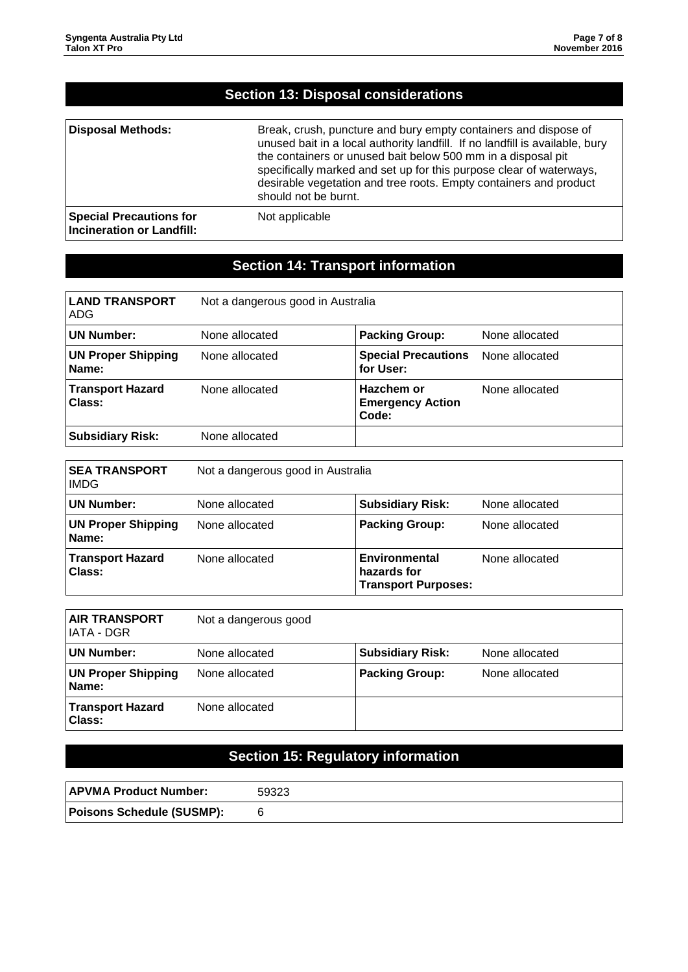| <b>Section 13: Disposal considerations</b>                         |                                                                                                                                                                                                                                                                                                                                                                                     |  |
|--------------------------------------------------------------------|-------------------------------------------------------------------------------------------------------------------------------------------------------------------------------------------------------------------------------------------------------------------------------------------------------------------------------------------------------------------------------------|--|
| <b>Disposal Methods:</b>                                           | Break, crush, puncture and bury empty containers and dispose of<br>unused bait in a local authority landfill. If no landfill is available, bury<br>the containers or unused bait below 500 mm in a disposal pit<br>specifically marked and set up for this purpose clear of waterways,<br>desirable vegetation and tree roots. Empty containers and product<br>should not be burnt. |  |
| <b>Special Precautions for</b><br><b>Incineration or Landfill:</b> | Not applicable                                                                                                                                                                                                                                                                                                                                                                      |  |

# **Section 14: Transport information**

| <b>LAND TRANSPORT</b><br>ADG.      | Not a dangerous good in Australia |                                                |                |
|------------------------------------|-----------------------------------|------------------------------------------------|----------------|
| <b>UN Number:</b>                  | None allocated                    | <b>Packing Group:</b>                          | None allocated |
| <b>UN Proper Shipping</b><br>Name: | None allocated                    | <b>Special Precautions</b><br>for User:        | None allocated |
| <b>Transport Hazard</b><br>Class:  | None allocated                    | Hazchem or<br><b>Emergency Action</b><br>Code: | None allocated |
| <b>Subsidiary Risk:</b>            | None allocated                    |                                                |                |

| <b>SEA TRANSPORT</b><br><b>IMDG</b> | Not a dangerous good in Australia |                                                            |                |
|-------------------------------------|-----------------------------------|------------------------------------------------------------|----------------|
| <b>UN Number:</b>                   | None allocated                    | <b>Subsidiary Risk:</b>                                    | None allocated |
| <b>UN Proper Shipping</b><br>Name:  | None allocated                    | <b>Packing Group:</b>                                      | None allocated |
| <b>Transport Hazard</b><br>Class:   | None allocated                    | Environmental<br>hazards for<br><b>Transport Purposes:</b> | None allocated |

| <b>AIR TRANSPORT</b><br>IATA - DGR       | Not a dangerous good |                         |                |
|------------------------------------------|----------------------|-------------------------|----------------|
| <b>UN Number:</b>                        | None allocated       | <b>Subsidiary Risk:</b> | None allocated |
| <b>UN Proper Shipping</b><br>Name:       | None allocated       | <b>Packing Group:</b>   | None allocated |
| <b>Transport Hazard</b><br><b>Class:</b> | None allocated       |                         |                |

# **Section 15: Regulatory information**

| <b>APVMA Product Number:</b>     | 59323 |
|----------------------------------|-------|
| <b>Poisons Schedule (SUSMP):</b> |       |